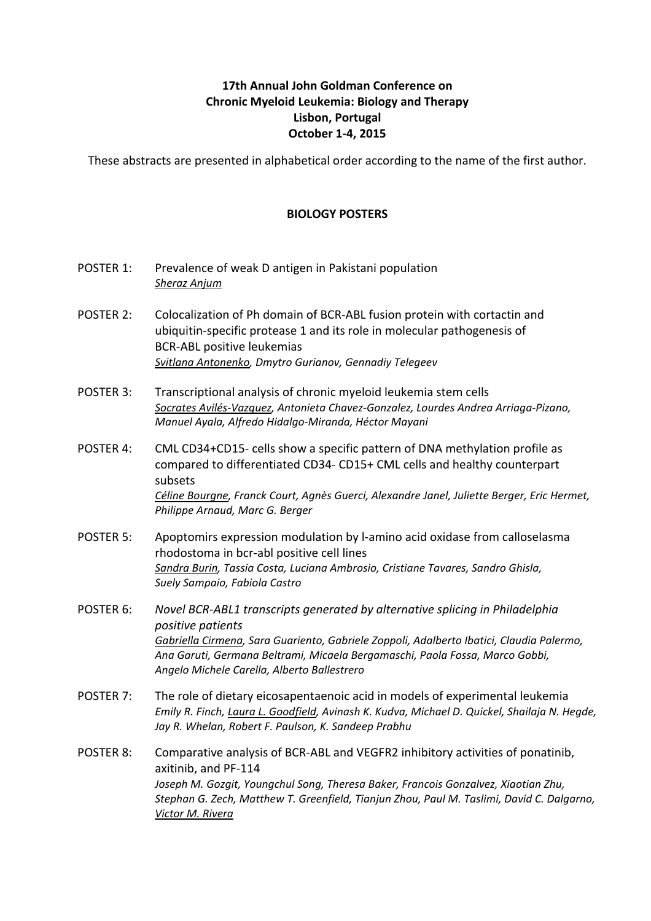## **17th Annual John Goldman Conference on Chronic Myeloid Leukemia: Biology and Therapy Lisbon, Portugal October 1-4, 2015**

These abstracts are presented in alphabetical order according to the name of the first author.

## **BIOLOGY POSTERS**

- POSTER 1: Prevalence of weak D antigen in Pakistani population *Sheraz Anjum*
- POSTER 2: Colocalization of Ph domain of BCR-ABL fusion protein with cortactin and ubiquitin-specific protease 1 and its role in molecular pathogenesis of **BCR-ABL positive leukemias** *Svitlana Antonenko, Dmytro Gurianov, Gennadiy Telegeev*
- POSTER 3: Transcriptional analysis of chronic myeloid leukemia stem cells Socrates Avilés-Vazquez, Antonieta Chavez-Gonzalez, Lourdes Andrea Arriaga-Pizano, *Manuel Ayala, Alfredo Hidalgo-Miranda, Héctor Mayani*
- POSTER 4: CML CD34+CD15- cells show a specific pattern of DNA methylation profile as compared to differentiated CD34- CD15+ CML cells and healthy counterpart subsets Céline Bourgne, Franck Court, Agnès Guerci, Alexandre Janel, Juliette Berger, Eric Hermet, *Philippe Arnaud, Marc G. Berger*
- POSTER 5: Apoptomirs expression modulation by l-amino acid oxidase from calloselasma rhodostoma in bcr-abl positive cell lines Sandra Burin, Tassia Costa, Luciana Ambrosio, Cristiane Tavares, Sandro Ghisla, *Suely Sampaio, Fabiola Castro*
- POSTER 6: Novel BCR-ABL1 transcripts generated by alternative splicing in Philadelphia *positive patients* Gabriella Cirmena, Sara Guariento, Gabriele Zoppoli, Adalberto Ibatici, Claudia Palermo, Ana Garuti, Germana Beltrami, Micaela Bergamaschi, Paola Fossa, Marco Gobbi, *Angelo Michele Carella, Alberto Ballestrero*
- POSTER 7: The role of dietary eicosapentaenoic acid in models of experimental leukemia *Emily R. Finch, Laura L. Goodfield, Avinash K. Kudva, Michael D. Quickel, Shailaja N. Hegde,* Jay R. Whelan, Robert F. Paulson, K. Sandeep Prabhu
- POSTER 8: Comparative analysis of BCR-ABL and VEGFR2 inhibitory activities of ponatinib, axitinib, and PF-114 Joseph M. Gozgit, Youngchul Song, Theresa Baker, Francois Gonzalvez, Xiaotian Zhu, Stephan G. Zech, Matthew T. Greenfield, Tianjun Zhou, Paul M. Taslimi, David C. Dalgarno, *Victor M. Rivera*